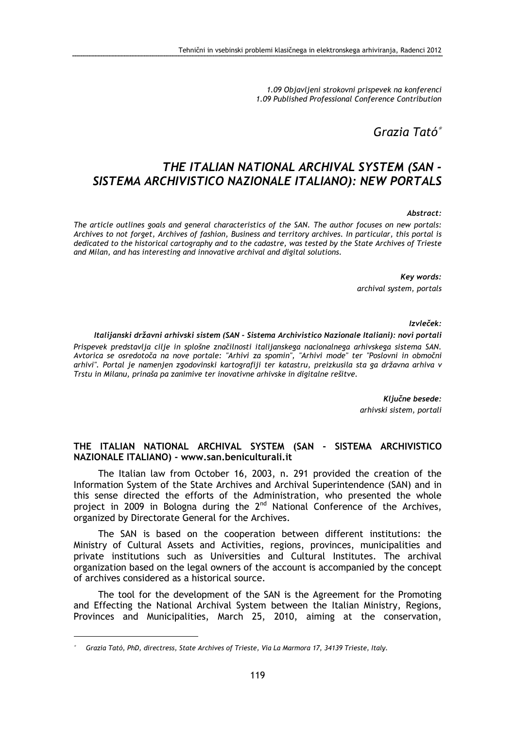1.09 Objavljeni strokovni prispevek na konferenci 1.09 Published Professional Conference Contribution

Grazia Tató<sup>∗</sup>

# THE ITALIAN NATIONAL ARCHIVAL SYSTEM (SAN - SISTEMA ARCHIVISTICO NAZIONALE ITALIANO): NEW PORTALS

#### Abstract:

The article outlines goals and general characteristics of the SAN. The author focuses on new portals: Archives to not forget, Archives of fashion, Business and territory archives. In particular, this portal is dedicated to the historical cartography and to the cadastre, was tested by the State Archives of Trieste and Milan, and has interesting and innovative archival and digital solutions.

> Key words: archival system, portals

> > Izvleček:

#### Italijanski državni arhivski sistem (SAN - Sistema Archivistico Nazionale Italiani): novi portali

Prispevek predstavlja cilje in splošne značilnosti italijanskega nacionalnega arhivskega sistema SAN. Avtorica se osredotoča na nove portale: "Arhivi za spomin", "Arhivi mode" ter "Poslovni in območni arhivi". Portal je namenjen zgodovinski kartografiji ter katastru, preizkusila sta ga državna arhiva v Trstu in Milanu, prinaša pa zanimive ter inovativne arhivske in digitalne rešitve.

> Ključne besede: arhivski sistem, portali

#### THE ITALIAN NATIONAL ARCHIVAL SYSTEM (SAN - SISTEMA ARCHIVISTICO NAZIONALE ITALIANO) - www.san.beniculturali.it

The Italian law from October 16, 2003, n. 291 provided the creation of the Information System of the State Archives and Archival Superintendence (SAN) and in this sense directed the efforts of the Administration, who presented the whole project in 2009 in Bologna during the  $2<sup>nd</sup>$  National Conference of the Archives, organized by Directorate General for the Archives.

The SAN is based on the cooperation between different institutions: the Ministry of Cultural Assets and Activities, regions, provinces, municipalities and private institutions such as Universities and Cultural Institutes. The archival organization based on the legal owners of the account is accompanied by the concept of archives considered as a historical source.

The tool for the development of the SAN is the Agreement for the Promoting and Effecting the National Archival System between the Italian Ministry, Regions, Provinces and Municipalities, March 25, 2010, aiming at the conservation,

 $\overline{a}$ 

<sup>∗</sup>Grazia Tató, PhD, directress, State Archives of Trieste, Via La Marmora 17, 34139 Trieste, Italy.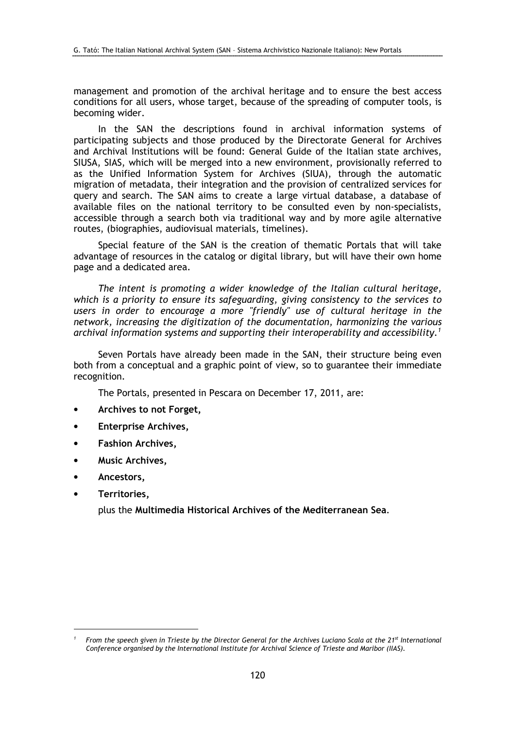management and promotion of the archival heritage and to ensure the best access conditions for all users, whose target, because of the spreading of computer tools, is becoming wider.

In the SAN the descriptions found in archival information systems of participating subjects and those produced by the Directorate General for Archives and Archival Institutions will be found: General Guide of the Italian state archives, SIUSA, SIAS, which will be merged into a new environment, provisionally referred to as the Unified Information System for Archives (SIUA), through the automatic migration of metadata, their integration and the provision of centralized services for query and search. The SAN aims to create a large virtual database, a database of available files on the national territory to be consulted even by non-specialists, accessible through a search both via traditional way and by more agile alternative routes, (biographies, audiovisual materials, timelines).

Special feature of the SAN is the creation of thematic Portals that will take advantage of resources in the catalog or digital library, but will have their own home page and a dedicated area.

The intent is promoting a wider knowledge of the Italian cultural heritage, which is a priority to ensure its safeguarding, giving consistency to the services to users in order to encourage a more "friendly" use of cultural heritage in the network, increasing the digitization of the documentation, harmonizing the various archival information systems and supporting their interoperability and accessibility.<sup>1</sup>

Seven Portals have already been made in the SAN, their structure being even both from a conceptual and a graphic point of view, so to guarantee their immediate recognition.

The Portals, presented in Pescara on December 17, 2011, are:

- Archives to not Forget,
- Enterprise Archives,
- Fashion Archives,
- Music Archives,
- Ancestors,
- Territories,

 $\overline{a}$ 

plus the Multimedia Historical Archives of the Mediterranean Sea.

<sup>1</sup> From the speech given in Trieste by the Director General for the Archives Luciano Scala at the 21<sup>st</sup> International Conference organised by the International Institute for Archival Science of Trieste and Maribor (IIAS).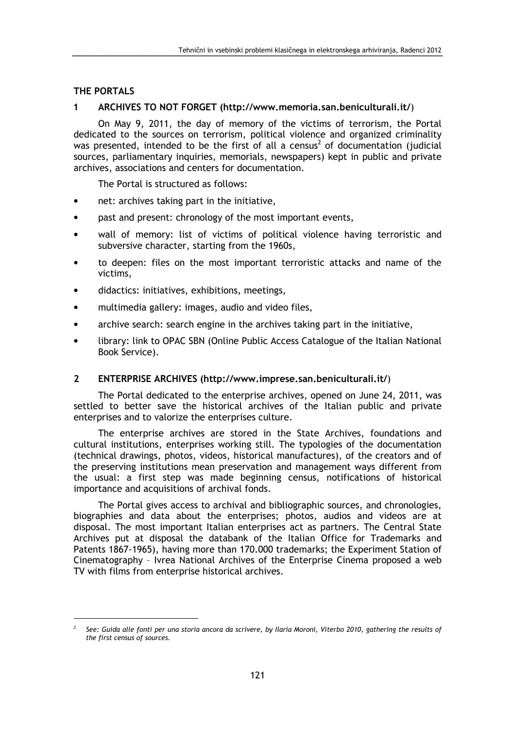# THE PORTALS

 $\overline{a}$ 

### 1 ARCHIVES TO NOT FORGET (http://www.memoria.san.beniculturali.it/)

On May 9, 2011, the day of memory of the victims of terrorism, the Portal dedicated to the sources on terrorism, political violence and organized criminality was presented, intended to be the first of all a census<sup>2</sup> of documentation (judicial sources, parliamentary inquiries, memorials, newspapers) kept in public and private archives, associations and centers for documentation.

The Portal is structured as follows:

- net: archives taking part in the initiative,
- past and present: chronology of the most important events,
- wall of memory: list of victims of political violence having terroristic and subversive character, starting from the 1960s,
- to deepen: files on the most important terroristic attacks and name of the victims,
- didactics: initiatives, exhibitions, meetings,
- multimedia gallery: images, audio and video files,
- archive search: search engine in the archives taking part in the initiative,
- library: link to OPAC SBN (Online Public Access Catalogue of the Italian National Book Service).

#### 2 ENTERPRISE ARCHIVES (http://www.imprese.san.beniculturali.it/)

The Portal dedicated to the enterprise archives, opened on June 24, 2011, was settled to better save the historical archives of the Italian public and private enterprises and to valorize the enterprises culture.

The enterprise archives are stored in the State Archives, foundations and cultural institutions, enterprises working still. The typologies of the documentation (technical drawings, photos, videos, historical manufactures), of the creators and of the preserving institutions mean preservation and management ways different from the usual: a first step was made beginning census, notifications of historical importance and acquisitions of archival fonds.

The Portal gives access to archival and bibliographic sources, and chronologies, biographies and data about the enterprises; photos, audios and videos are at disposal. The most important Italian enterprises act as partners. The Central State Archives put at disposal the databank of the Italian Office for Trademarks and Patents 1867-1965), having more than 170.000 trademarks; the Experiment Station of Cinematography – Ivrea National Archives of the Enterprise Cinema proposed a web TV with films from enterprise historical archives.

<sup>2</sup> See: Guida alle fonti per una storia ancora da scrivere, by Ilaria Moroni, Viterbo 2010, gathering the results of the first census of sources.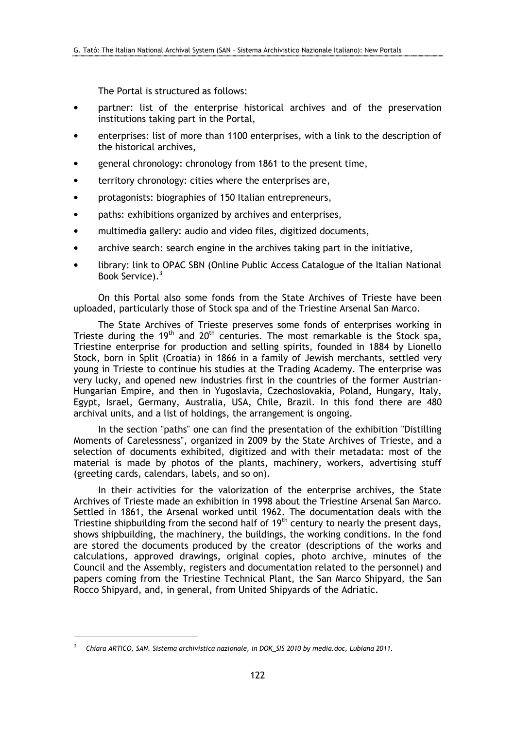The Portal is structured as follows:

- partner: list of the enterprise historical archives and of the preservation institutions taking part in the Portal,
- enterprises: list of more than 1100 enterprises, with a link to the description of the historical archives,
- general chronology: chronology from 1861 to the present time,
- territory chronology: cities where the enterprises are,
- protagonists: biographies of 150 Italian entrepreneurs,
- paths: exhibitions organized by archives and enterprises,
- multimedia gallery: audio and video files, digitized documents,
- archive search: search engine in the archives taking part in the initiative,
- library: link to OPAC SBN (Online Public Access Catalogue of the Italian National Book Service).<sup>3</sup>

On this Portal also some fonds from the State Archives of Trieste have been uploaded, particularly those of Stock spa and of the Triestine Arsenal San Marco.

The State Archives of Trieste preserves some fonds of enterprises working in Trieste during the 19<sup>th</sup> and 20<sup>th</sup> centuries. The most remarkable is the Stock spa, Triestine enterprise for production and selling spirits, founded in 1884 by Lionello Stock, born in Split (Croatia) in 1866 in a family of Jewish merchants, settled very young in Trieste to continue his studies at the Trading Academy. The enterprise was very lucky, and opened new industries first in the countries of the former Austrian-Hungarian Empire, and then in Yugoslavia, Czechoslovakia, Poland, Hungary, Italy, Egypt, Israel, Germany, Australia, USA, Chile, Brazil. In this fond there are 480 archival units, and a list of holdings, the arrangement is ongoing.

In the section "paths" one can find the presentation of the exhibition "Distilling Moments of Carelessness", organized in 2009 by the State Archives of Trieste, and a selection of documents exhibited, digitized and with their metadata: most of the material is made by photos of the plants, machinery, workers, advertising stuff (greeting cards, calendars, labels, and so on).

In their activities for the valorization of the enterprise archives, the State Archives of Trieste made an exhibition in 1998 about the Triestine Arsenal San Marco. Settled in 1861, the Arsenal worked until 1962. The documentation deals with the Triestine shipbuilding from the second half of  $19<sup>th</sup>$  century to nearly the present days, shows shipbuilding, the machinery, the buildings, the working conditions. In the fond are stored the documents produced by the creator (descriptions of the works and calculations, approved drawings, original copies, photo archive, minutes of the Council and the Assembly, registers and documentation related to the personnel) and papers coming from the Triestine Technical Plant, the San Marco Shipyard, the San Rocco Shipyard, and, in general, from United Shipyards of the Adriatic.

 $\overline{a}$ 

<sup>3</sup> Chiara ARTICO, SAN. Sistema archivistica nazionale, in DOK\_SIS 2010 by media.doc, Lubiana 2011.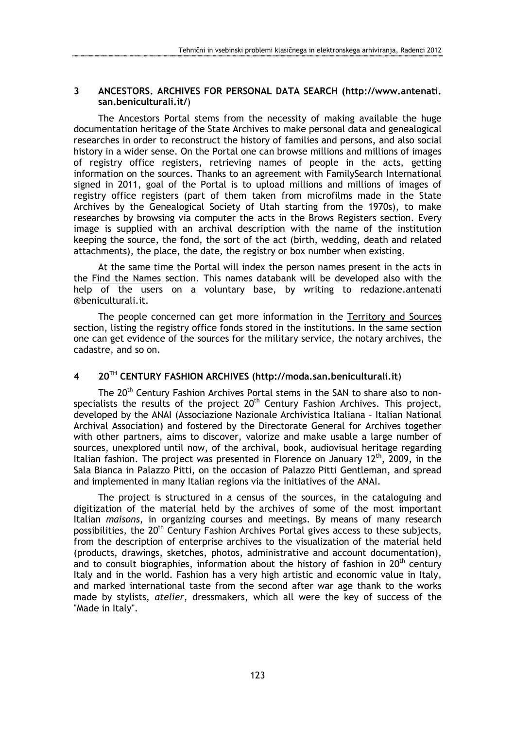### 3 ANCESTORS. ARCHIVES FOR PERSONAL DATA SEARCH (http://www.antenati. san.beniculturali.it/)

The Ancestors Portal stems from the necessity of making available the huge documentation heritage of the State Archives to make personal data and genealogical researches in order to reconstruct the history of families and persons, and also social history in a wider sense. On the Portal one can browse millions and millions of images of registry office registers, retrieving names of people in the acts, getting information on the sources. Thanks to an agreement with FamilySearch International signed in 2011, goal of the Portal is to upload millions and millions of images of registry office registers (part of them taken from microfilms made in the State Archives by the Genealogical Society of Utah starting from the 1970s), to make researches by browsing via computer the acts in the Brows Registers section. Every image is supplied with an archival description with the name of the institution keeping the source, the fond, the sort of the act (birth, wedding, death and related attachments), the place, the date, the registry or box number when existing.

At the same time the Portal will index the person names present in the acts in the Find the Names section. This names databank will be developed also with the help of the users on a voluntary base, by writing to redazione.antenati @beniculturali.it.

The people concerned can get more information in the Territory and Sources section, listing the registry office fonds stored in the institutions. In the same section one can get evidence of the sources for the military service, the notary archives, the cadastre, and so on.

# 4 20TH CENTURY FASHION ARCHIVES (http://moda.san.beniculturali.it)

The 20<sup>th</sup> Century Fashion Archives Portal stems in the SAN to share also to nonspecialists the results of the project  $20<sup>th</sup>$  Century Fashion Archives. This project, developed by the ANAI (Associazione Nazionale Archivistica Italiana – Italian National Archival Association) and fostered by the Directorate General for Archives together with other partners, aims to discover, valorize and make usable a large number of sources, unexplored until now, of the archival, book, audiovisual heritage regarding Italian fashion. The project was presented in Florence on January  $12<sup>th</sup>$ , 2009, in the Sala Bianca in Palazzo Pitti, on the occasion of Palazzo Pitti Gentleman, and spread and implemented in many Italian regions via the initiatives of the ANAI.

The project is structured in a census of the sources, in the cataloguing and digitization of the material held by the archives of some of the most important Italian maisons, in organizing courses and meetings. By means of many research possibilities, the 20<sup>th</sup> Century Fashion Archives Portal gives access to these subjects, from the description of enterprise archives to the visualization of the material held (products, drawings, sketches, photos, administrative and account documentation), and to consult biographies, information about the history of fashion in  $20<sup>th</sup>$  century Italy and in the world. Fashion has a very high artistic and economic value in Italy, and marked international taste from the second after war age thank to the works made by stylists, atelier, dressmakers, which all were the key of success of the "Made in Italy".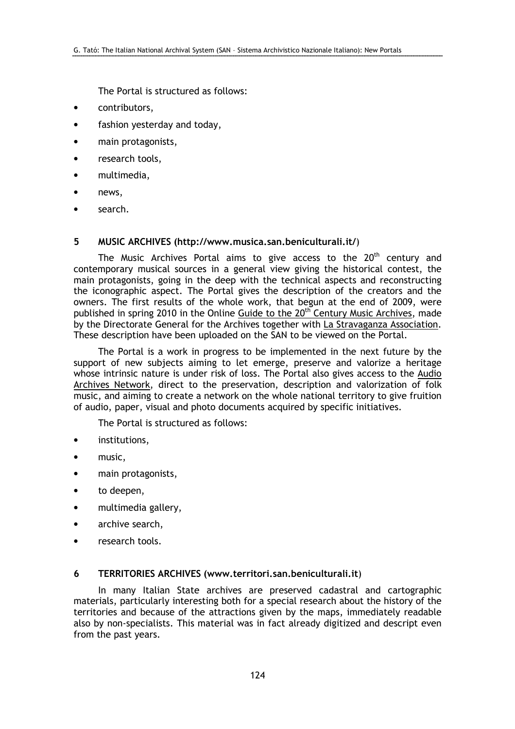The Portal is structured as follows:

- contributors,
- fashion yesterday and today,
- main protagonists,
- research tools.
- multimedia,
- news.
- search.

#### 5 MUSIC ARCHIVES (http://www.musica.san.beniculturali.it/)

The Music Archives Portal aims to give access to the  $20<sup>th</sup>$  century and contemporary musical sources in a general view giving the historical contest, the main protagonists, going in the deep with the technical aspects and reconstructing the iconographic aspect. The Portal gives the description of the creators and the owners. The first results of the whole work, that begun at the end of 2009, were published in spring 2010 in the Online Guide to the 20<sup>th</sup> Century Music Archives, made by the Directorate General for the Archives together with La Stravaganza Association. These description have been uploaded on the SAN to be viewed on the Portal.

The Portal is a work in progress to be implemented in the next future by the support of new subjects aiming to let emerge, preserve and valorize a heritage whose intrinsic nature is under risk of loss. The Portal also gives access to the Audio Archives Network, direct to the preservation, description and valorization of folk music, and aiming to create a network on the whole national territory to give fruition of audio, paper, visual and photo documents acquired by specific initiatives.

The Portal is structured as follows:

- institutions,
- music,
- main protagonists,
- to deepen,
- multimedia gallery,
- archive search,
- research tools.

## 6 TERRITORIES ARCHIVES (www.territori.san.beniculturali.it)

In many Italian State archives are preserved cadastral and cartographic materials, particularly interesting both for a special research about the history of the territories and because of the attractions given by the maps, immediately readable also by non-specialists. This material was in fact already digitized and descript even from the past years.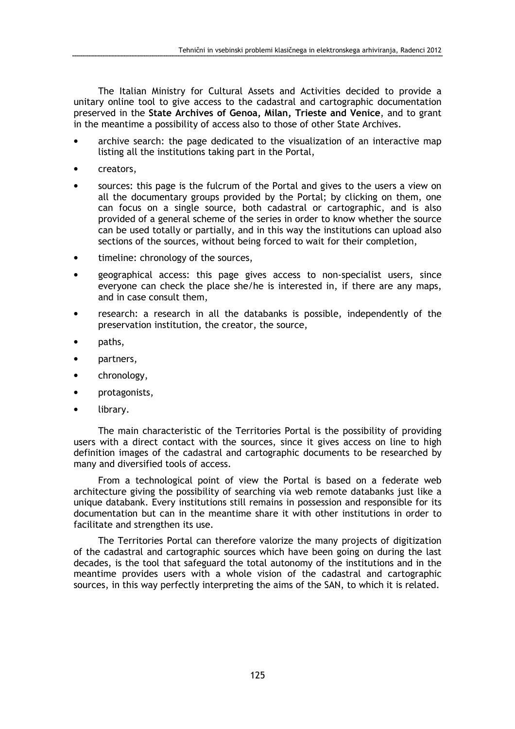The Italian Ministry for Cultural Assets and Activities decided to provide a unitary online tool to give access to the cadastral and cartographic documentation preserved in the State Archives of Genoa, Milan, Trieste and Venice, and to grant in the meantime a possibility of access also to those of other State Archives.

- archive search: the page dedicated to the visualization of an interactive map listing all the institutions taking part in the Portal,
- creators,
- sources: this page is the fulcrum of the Portal and gives to the users a view on all the documentary groups provided by the Portal; by clicking on them, one can focus on a single source, both cadastral or cartographic, and is also provided of a general scheme of the series in order to know whether the source can be used totally or partially, and in this way the institutions can upload also sections of the sources, without being forced to wait for their completion,
- timeline: chronology of the sources,
- geographical access: this page gives access to non-specialist users, since everyone can check the place she/he is interested in, if there are any maps, and in case consult them,
- research: a research in all the databanks is possible, independently of the preservation institution, the creator, the source,
- paths,
- partners,
- chronology,
- protagonists,
- library.

The main characteristic of the Territories Portal is the possibility of providing users with a direct contact with the sources, since it gives access on line to high definition images of the cadastral and cartographic documents to be researched by many and diversified tools of access.

From a technological point of view the Portal is based on a federate web architecture giving the possibility of searching via web remote databanks just like a unique databank. Every institutions still remains in possession and responsible for its documentation but can in the meantime share it with other institutions in order to facilitate and strengthen its use.

The Territories Portal can therefore valorize the many projects of digitization of the cadastral and cartographic sources which have been going on during the last decades, is the tool that safeguard the total autonomy of the institutions and in the meantime provides users with a whole vision of the cadastral and cartographic sources, in this way perfectly interpreting the aims of the SAN, to which it is related.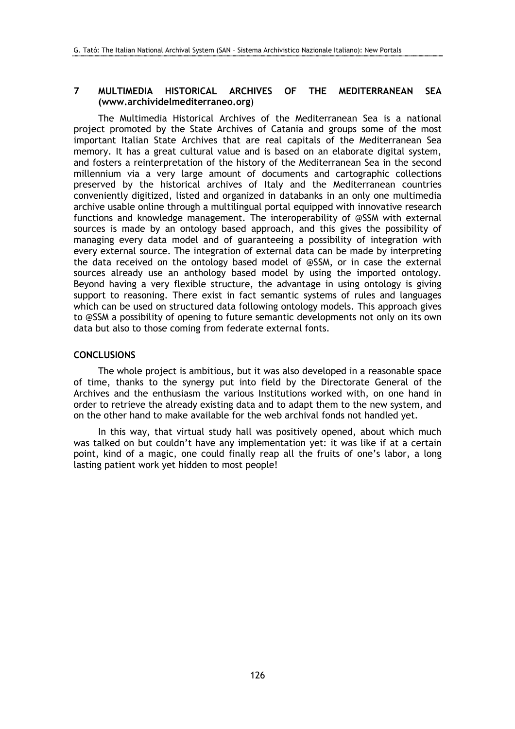### 7 MULTIMEDIA HISTORICAL ARCHIVES OF THE MEDITERRANEAN SEA (www.archividelmediterraneo.org)

The Multimedia Historical Archives of the Mediterranean Sea is a national project promoted by the State Archives of Catania and groups some of the most important Italian State Archives that are real capitals of the Mediterranean Sea memory. It has a great cultural value and is based on an elaborate digital system, and fosters a reinterpretation of the history of the Mediterranean Sea in the second millennium via a very large amount of documents and cartographic collections preserved by the historical archives of Italy and the Mediterranean countries conveniently digitized, listed and organized in databanks in an only one multimedia archive usable online through a multilingual portal equipped with innovative research functions and knowledge management. The interoperability of @SSM with external sources is made by an ontology based approach, and this gives the possibility of managing every data model and of guaranteeing a possibility of integration with every external source. The integration of external data can be made by interpreting the data received on the ontology based model of @SSM, or in case the external sources already use an anthology based model by using the imported ontology. Beyond having a very flexible structure, the advantage in using ontology is giving support to reasoning. There exist in fact semantic systems of rules and languages which can be used on structured data following ontology models. This approach gives to @SSM a possibility of opening to future semantic developments not only on its own data but also to those coming from federate external fonts.

## **CONCLUSIONS**

The whole project is ambitious, but it was also developed in a reasonable space of time, thanks to the synergy put into field by the Directorate General of the Archives and the enthusiasm the various Institutions worked with, on one hand in order to retrieve the already existing data and to adapt them to the new system, and on the other hand to make available for the web archival fonds not handled yet.

In this way, that virtual study hall was positively opened, about which much was talked on but couldn't have any implementation yet: it was like if at a certain point, kind of a magic, one could finally reap all the fruits of one's labor, a long lasting patient work yet hidden to most people!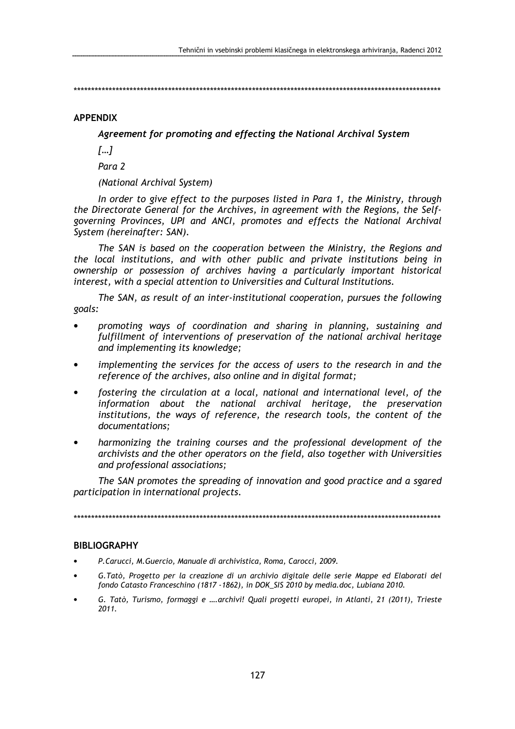\*\*\*\*\*\*\*\*\*\*\*\*\*\*\*\*\*\*\*\*\*\*\*\*\*\*\*\*\*\*\*\*\*\*\*\*\*\*\*\*\*\*\*\*\*\*\*\*\*\*\*\*\*\*\*\*\*\*\*\*\*\*\*\*\*\*\*\*\*\*\*\*\*\*\*\*\*\*\*\*\*\*\*\*\*\*\*\*\*\*\*\*\*\*\*\*\*\*\*\*\*\*\*\*\*

#### APPENDIX

Agreement for promoting and effecting the National Archival System

 $[...]$ 

Para 2

(National Archival System)

In order to give effect to the purposes listed in Para 1, the Ministry, through the Directorate General for the Archives, in agreement with the Regions, the Selfgoverning Provinces, UPI and ANCI, promotes and effects the National Archival System (hereinafter: SAN).

The SAN is based on the cooperation between the Ministry, the Regions and the local institutions, and with other public and private institutions being in ownership or possession of archives having a particularly important historical interest, with a special attention to Universities and Cultural Institutions.

The SAN, as result of an inter-institutional cooperation, pursues the following goals:

- promoting ways of coordination and sharing in planning, sustaining and fulfillment of interventions of preservation of the national archival heritage and implementing its knowledge;
- implementing the services for the access of users to the research in and the reference of the archives, also online and in digital format;
- fostering the circulation at a local, national and international level, of the information about the national archival heritage, the preservation institutions, the ways of reference, the research tools, the content of the documentations;
- harmonizing the training courses and the professional development of the archivists and the other operators on the field, also together with Universities and professional associations;

The SAN promotes the spreading of innovation and good practice and a sgared participation in international projects.

\*\*\*\*\*\*\*\*\*\*\*\*\*\*\*\*\*\*\*\*\*\*\*\*\*\*\*\*\*\*\*\*\*\*\*\*\*\*\*\*\*\*\*\*\*\*\*\*\*\*\*\*\*\*\*\*\*\*\*\*\*\*\*\*\*\*\*\*\*\*\*\*\*\*\*\*\*\*\*\*\*\*\*\*\*\*\*\*\*\*\*\*\*\*\*\*\*\*\*\*\*\*\*\*\*

#### **BIBLIOGRAPHY**

- P.Carucci, M.Guercio, Manuale di archivistica, Roma, Carocci, 2009.
- G.Tatò, Progetto per la creazione di un archivio digitale delle serie Mappe ed Elaborati del fondo Catasto Franceschino (1817 -1862), in DOK\_SIS 2010 by media.doc, Lubiana 2010.
- G. Tatò, Turismo, formaggi e ….archivi! Quali progetti europei, in Atlanti, 21 (2011), Trieste 2011.